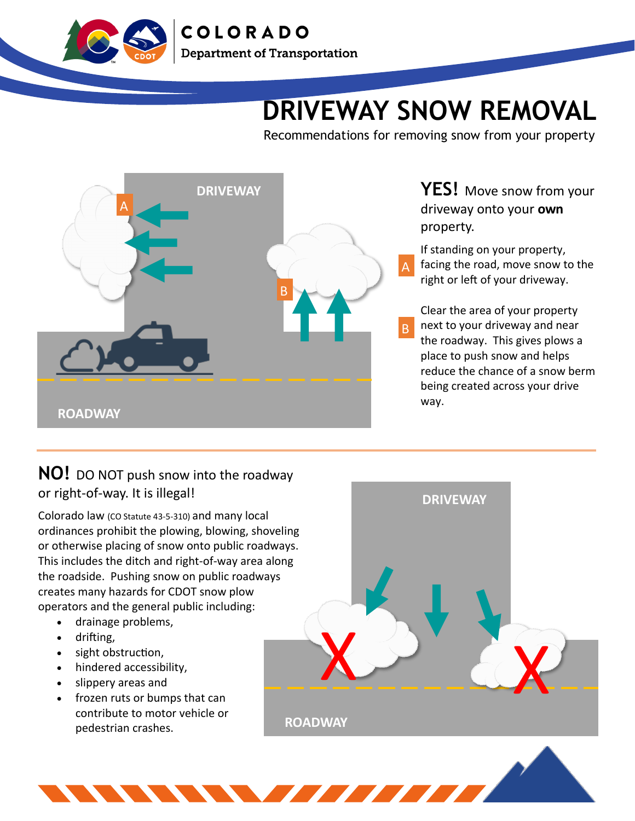

**COLORADO Department of Transportation** 

## **DRIVEWAY SNOW REMOVAL**

Recommendations for removing snow from your property



**YES!** Move snow from your driveway onto your **own**  property.

If standing on your property, facing the road, move snow to the right or left of your driveway.

Clear the area of your property next to your driveway and near the roadway. This gives plows a place to push snow and helps reduce the chance of a snow berm being created across your drive way.

## **NO!** DO NOT push snow into the roadway or right-of-way. It is illegal!

Colorado law (CO Statute 43-5-310) and many local ordinances prohibit the plowing, blowing, shoveling or otherwise placing of snow onto public roadways. This includes the ditch and right-of-way area along the roadside. Pushing snow on public roadways creates many hazards for CDOT snow plow operators and the general public including:

- drainage problems,
- drifting,
- sight obstruction,
- hindered accessibility,
- slippery areas and
- frozen ruts or bumps that can contribute to motor vehicle or pedestrian crashes.